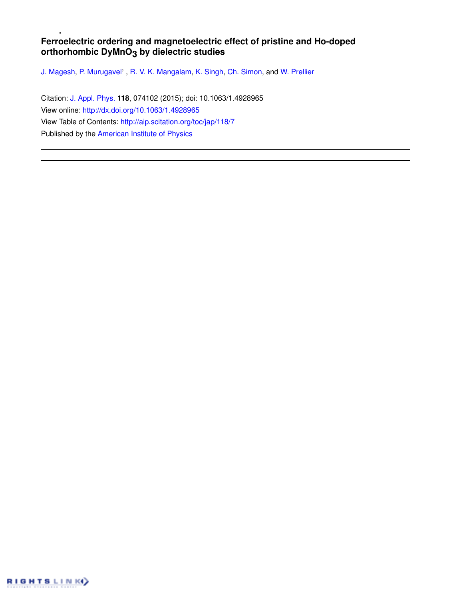# **Ferroelectric ordering and magnetoelectric effect of pristine and Ho-doped orthorhombic DyMnO3 by dielectric studies**

J. Magesh, P. Murugavel', R. V. K. Mangalam, K. Singh, Ch. Simon, and W. Prellier

Citation: J. Appl. Phys. **118**, 074102 (2015); doi: 10.1063/1.4928965 View online: http://dx.doi.org/10.1063/1.4928965 View Table of Contents: http://aip.scitation.org/toc/jap/118/7 Published by the American Institute of Physics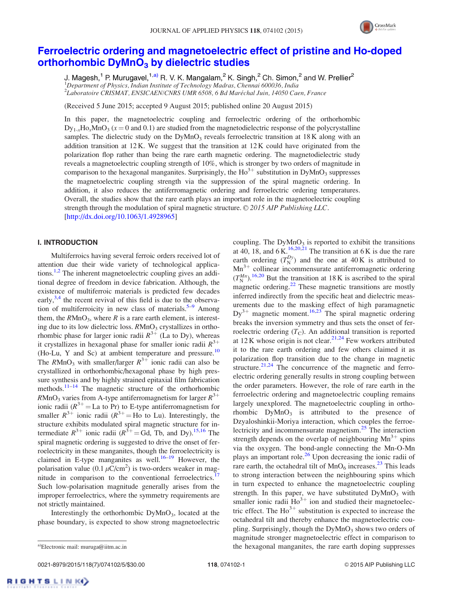

# Ferroelectric ordering and magnetoelectric effect of pristine and Ho-doped orthorhombic DyMnO<sub>3</sub> by dielectric studies

J. Magesh,<sup>1</sup> P. Murugavel,<sup>1,a)</sup> R. V. K. Mangalam,<sup>2</sup> K. Singh,<sup>2</sup> Ch. Simon,<sup>2</sup> and W. Prellier<sup>2</sup>  $1$ Department of Physics, Indian Institute of Technology Madras, Chennai 600036, India 2 Laboratoire CRISMAT, ENSICAEN/CNRS UMR 6508, 6 Bd Marechal Juin, 14050 Caen, France -

(Received 5 June 2015; accepted 9 August 2015; published online 20 August 2015)

In this paper, the magnetoelectric coupling and ferroelectric ordering of the orthorhombic  $\text{Dy}_{1-x}\text{Ho}_x\text{MnO}_3$  ( $x = 0$  and 0.1) are studied from the magnetodielectric response of the polycrystalline samples. The dielectric study on the  $DyMnO<sub>3</sub>$  reveals ferroelectric transition at 18K along with an addition transition at  $12$  K. We suggest that the transition at  $12$  K could have originated from the polarization flop rather than being the rare earth magnetic ordering. The magnetodielectric study reveals a magnetoelectric coupling strength of 10%, which is stronger by two orders of magnitude in comparison to the hexagonal manganites. Surprisingly, the  $Ho^{3+}$  substitution in DyMnO<sub>3</sub> suppresses the magnetoelectric coupling strength via the suppression of the spiral magnetic ordering. In addition, it also reduces the antiferromagnetic ordering and ferroelectric ordering temperatures. Overall, the studies show that the rare earth plays an important role in the magnetoelectric coupling strength through the modulation of spiral magnetic structure.  $\odot$  2015 AIP Publishing LLC. [http://dx.doi.org/10.1063/1.4928965]

## I. INTRODUCTION

Multiferroics having several ferroic orders received lot of attention due their wide variety of technological applications.<sup>1,2</sup> The inherent magnetoelectric coupling gives an additional degree of freedom in device fabrication. Although, the existence of multiferroic materials is predicted few decades early,<sup>3,4</sup> the recent revival of this field is due to the observation of multiferroicity in new class of materials.<sup>5–9</sup> Among them, the  $RMnO_3$ , where R is a rare earth element, is interesting due to its low dielectric loss.  $R M nO<sub>3</sub>$  crystallizes in orthorhombic phase for larger ionic radii  $R^{3+}$  (La to Dy), whereas it crystallizes in hexagonal phase for smaller ionic radii  $R^{3+}$ (Ho-Lu, Y and Sc) at ambient temperature and pressure.<sup>10</sup> The  $RMnO_3$  with smaller/larger  $R^{3+}$  ionic radii can also be crystallized in orthorhombic/hexagonal phase by high pressure synthesis and by highly strained epitaxial film fabrication methods.<sup>11–14</sup> The magnetic structure of the orthorhombic  $RMnO<sub>3</sub>$  varies from A-type antiferromagnetism for larger  $R^{3+}$ ionic radii  $(R^{3+} = La$  to Pr) to E-type antiferromagnetism for smaller  $R^{3+}$  ionic radii  $(R^{3+} =$  Ho to Lu). Interestingly, the structure exhibits modulated spiral magnetic structure for intermediate  $R^{3+}$  ionic radii  $(R^{3+} = Gd, Tb,$  and Dy).<sup>15,16</sup> The spiral magnetic ordering is suggested to drive the onset of ferroelectricity in these manganites, though the ferroelectricity is claimed in E-type manganites as well.<sup>16–19</sup> However, the polarisation value  $(0.1 \mu C/cm^2)$  is two-orders weaker in magnitude in comparison to the conventional ferroelectrics.<sup>17</sup> Such low-polarisation magnitude generally arises from the improper ferroelectrics, where the symmetry requirements are not strictly maintained.

Interestingly the orthorhombic DyMnO<sub>3</sub>, located at the phase boundary, is expected to show strong magnetoelectric

0021-8979/2015/118(7)/074102/5/\$30.00 118, 074102-1 © 2015 AIP Publishing LLC

coupling. The  $DyMnO<sub>3</sub>$  is reported to exhibit the transitions at 40, 18, and  $6$  K.<sup>16,20,21</sup> The transition at 6 K is due the rare earth ordering  $(T_N^{D_y})$  and the one at 40 K is attributed to  $Mn^{3+}$  collinear incommensurate antiferromagnetic ordering  $(T_N^{Mn})$ .<sup>16,20</sup> But the transition at 18 K is ascribed to the spiral magnetic ordering.<sup>22</sup> These magnetic transitions are mostly inferred indirectly from the specific heat and dielectric measurements due to the masking effect of high paramagnetic  $Dy^{3+}$  magnetic moment.<sup>16,23</sup> The spiral magnetic ordering breaks the inversion symmetry and thus sets the onset of ferroelectric ordering  $(T<sub>C</sub>)$ . An additional transition is reported at  $12$  K whose origin is not clear.<sup>21,24</sup> Few workers attributed it to the rare earth ordering and few others claimed it as polarization flop transition due to the change in magnetic structure.<sup>21,24</sup> The concurrence of the magnetic and ferroelectric ordering generally results in strong coupling between the order parameters. However, the role of rare earth in the ferroelectric ordering and magnetoelectric coupling remains largely unexplored. The magnetoelectric coupling in orthorhombic  $DyMnO<sub>3</sub>$  is attributed to the presence of Dzyaloshinkii-Moriya interaction, which couples the ferroelectricity and incommensurate magnetism.<sup>25</sup> The interaction strength depends on the overlap of neighbouring  $Mn^{3+}$  spins via the oxygen. The bond-angle connecting the Mn-O-Mn plays an important role. $26$  Upon decreasing the ionic radii of rare earth, the octahedral tilt of  $MnO<sub>6</sub>$  increases.<sup>23</sup> This leads to strong interaction between the neighbouring spins which in turn expected to enhance the magnetoelectric coupling strength. In this paper, we have substituted  $DyMnO_3$  with smaller ionic radii  $Ho^{3+}$  ion and studied their magnetoelectric effect. The  $Ho^{3+}$  substitution is expected to increase the octahedral tilt and thereby enhance the magnetoelectric coupling. Surprisingly, though the  $DyMnO<sub>3</sub>$  shows two orders of magnitude stronger magnetoelectric effect in comparison to a)Electronic mail: muruga@iitm.ac.in **a** a)Electronic mail: muruga@iitm.ac.in **a** and the hexagonal manganites, the rare earth doping suppresses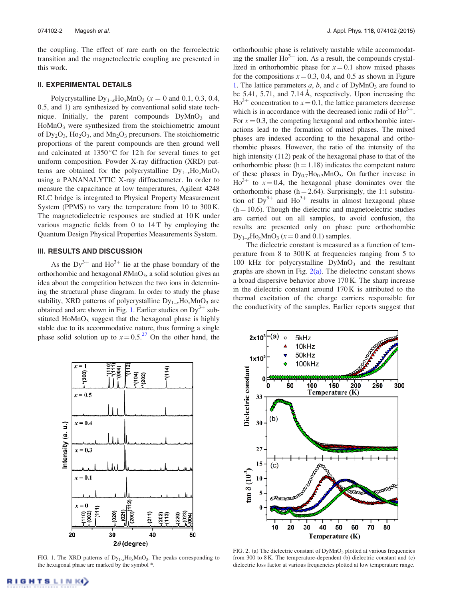the coupling. The effect of rare earth on the ferroelectric transition and the magnetoelectric coupling are presented in this work.

### II. EXPERIMENTAL DETAILS

Polycrystalline  $Dy_{1-x}Ho_xMnO_3$  ( $x = 0$  and 0.1, 0.3, 0.4, 0.5, and 1) are synthesized by conventional solid state technique. Initially, the parent compounds  $DyMnO<sub>3</sub>$  and  $H<sub>0</sub>MnO<sub>3</sub>$  were synthesized from the stoichiometric amount of  $Dy_2O_3$ ,  $Ho_2O_3$ , and  $Mn_2O_3$  precursors. The stoichiometric proportions of the parent compounds are then ground well and calcinated at  $1350^{\circ}$ C for 12 h for several times to get uniform composition. Powder X-ray diffraction (XRD) patterns are obtained for the polycrystalline  $Dy_{1-x}Ho_xMnO_3$ using a PANANALYTIC X-ray diffractometer. In order to measure the capacitance at low temperatures, Agilent 4248 RLC bridge is integrated to Physical Property Measurement System (PPMS) to vary the temperature from 10 to 300 K. The magnetodielectric responses are studied at 10 K under various magnetic fields from 0 to 14 T by employing the Quantum Design Physical Properties Measurements System.

## III. RESULTS AND DISCUSSION

As the  $Dy^{3+}$  and  $Ho^{3+}$  lie at the phase boundary of the orthorhombic and hexagonal  $RMnO<sub>3</sub>$ , a solid solution gives an idea about the competition between the two ions in determining the structural phase diagram. In order to study the phase stability, XRD patterns of polycrystalline  $Dy_{1-x}Ho_xMnO_3$  are obtained and are shown in Fig. 1. Earlier studies on  $Dy^{3+}$  substituted  $H \circ MnO_3$  suggest that the hexagonal phase is highly stable due to its accommodative nature, thus forming a single phase solid solution up to  $x = 0.5<sup>27</sup>$  On the other hand, the orthorhombic phase is relatively unstable while accommodating the smaller  $Ho^{3+}$  ion. As a result, the compounds crystallized in orthorhombic phase for  $x=0.1$  show mixed phases for the compositions  $x = 0.3$ , 0.4, and 0.5 as shown in Figure 1. The lattice parameters  $a, b$ , and  $c$  of DyMnO<sub>3</sub> are found to be 5.41, 5.71, and 7.14 Å, respectively. Upon increasing the  $Ho^{3+}$  concentration to  $x = 0.1$ , the lattice parameters decrease which is in accordance with the decreased ionic radii of  $Ho^{3+}$ . For  $x = 0.3$ , the competing hexagonal and orthorhombic interactions lead to the formation of mixed phases. The mixed phases are indexed according to the hexagonal and orthorhombic phases. However, the ratio of the intensity of the high intensity (112) peak of the hexagonal phase to that of the orthorhombic phase  $(h = 1.18)$  indicates the competent nature of these phases in  $Dy_{0.7}Ho_{0.3}MnO_3$ . On further increase in  $Ho^{3+}$  to  $x = 0.4$ , the hexagonal phase dominates over the orthorhombic phase ( $h = 2.64$ ). Surprisingly, the 1:1 substitution of  $Dy^{3+}$  and  $Ho^{3+}$  results in almost hexagonal phase  $(h = 10.6)$ . Though the dielectric and magnetoelectric studies are carried out on all samples, to avoid confusion, the results are presented only on phase pure orthorhombic  $Dy_{1-x}Ho_xMnO_3$  ( $x = 0$  and 0.1) samples.

The dielectric constant is measured as a function of temperature from 8 to 300 K at frequencies ranging from 5 to 100 kHz for polycrystalline  $DyMnO<sub>3</sub>$  and the resultant graphs are shown in Fig.  $2(a)$ . The dielectric constant shows a broad dispersive behavior above 170 K. The sharp increase in the dielectric constant around 170 K is attributed to the thermal excitation of the charge carriers responsible for the conductivity of the samples. Earlier reports suggest that



FIG. 1. The XRD patterns of  $Dy_{1-x}H\sigma_xMnO_3$ . The peaks corresponding to the hexagonal phase are marked by the symbol \*.



FIG. 2. (a) The dielectric constant of  $DyMnO<sub>3</sub>$  plotted at various frequencies from 300 to 8 K. The temperature-dependent (b) dielectric constant and (c) dielectric loss factor at various frequencies plotted at low temperature range.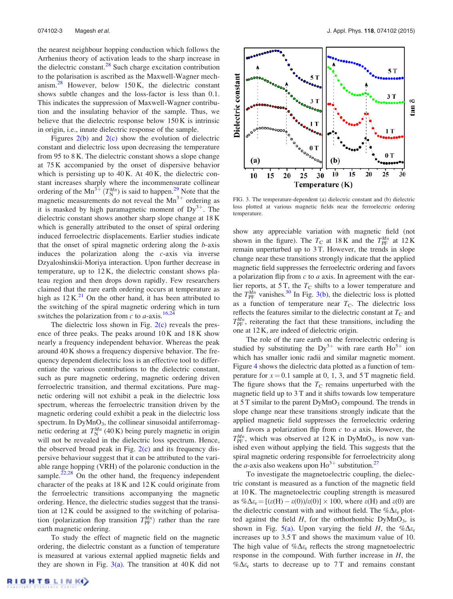the nearest neighbour hopping conduction which follows the Arrhenius theory of activation leads to the sharp increase in the dielectric constant. $^{28}$  Such charge excitation contribution to the polarisation is ascribed as the Maxwell-Wagner mechanism. $^{28}$  However, below 150 K, the dielectric constant shows subtle changes and the loss-factor is less than 0.1. This indicates the suppression of Maxwell-Wagner contribution and the insulating behavior of the sample. Thus, we believe that the dielectric response below 150 K is intrinsic in origin, i.e., innate dielectric response of the sample.

Figures  $2(b)$  and  $2(c)$  show the evolution of dielectric constant and dielectric loss upon decreasing the temperature from 95 to 8 K. The dielectric constant shows a slope change at 75 K accompanied by the onset of dispersive behavior which is persisting up to  $40$  K. At  $40$  K, the dielectric constant increases sharply where the incommensurate collinear ordering of the Mn<sup>3+</sup>  $(T_N^{Mn})$  is said to happen.<sup>29</sup> Note that the magnetic measurements do not reveal the  $Mn^{3+}$  ordering as it is masked by high paramagnetic moment of  $Dy^{3+}$ . The dielectric constant shows another sharp slope change at 18 K which is generally attributed to the onset of spiral ordering induced ferroelectric displacements. Earlier studies indicate that the onset of spiral magnetic ordering along the b-axis induces the polarization along the c-axis via inverse Dzyaloshinskii-Moriya interaction. Upon further decrease in temperature, up to 12 K, the dielectric constant shows plateau region and then drops down rapidly. Few researchers claimed that the rare earth ordering occurs at temperature as high as  $12 \text{ K}^{21}$  On the other hand, it has been attributed to the switching of the spiral magnetic ordering which in turn switches the polarization from c to  $a$ -axis.<sup>16,24</sup>

The dielectric loss shown in Fig.  $2(c)$  reveals the presence of three peaks. The peaks around 10 K and 18 K show nearly a frequency independent behavior. Whereas the peak around 40 K shows a frequency dispersive behavior. The frequency dependent dielectric loss is an effective tool to differentiate the various contributions to the dielectric constant, such as pure magnetic ordering, magnetic ordering driven ferroelectric transition, and thermal excitations. Pure magnetic ordering will not exhibit a peak in the dielectric loss spectrum, whereas the ferroelectric transition driven by the magnetic ordering could exhibit a peak in the dielectric loss spectrum. In  $DyMnO<sub>3</sub>$ , the collinear sinusoidal antiferromagnetic ordering at  $T_N^{Mn}$  (40 K) being purely magnetic in origin will not be revealed in the dielectric loss spectrum. Hence, the observed broad peak in Fig.  $2(c)$  and its frequency dispersive behaviour suggest that it can be attributed to the variable range hopping (VRH) of the polaronic conduction in the sample.<sup> $22,28$ </sup> On the other hand, the frequency independent character of the peaks at 18 K and 12 K could originate from the ferroelectric transitions accompanying the magnetic ordering. Hence, the dielectric studies suggest that the transition at 12 K could be assigned to the switching of polarisation (polarization flop transition  $T_{\text{PF}}^{Mn}$ ) rather than the rare earth magnetic ordering.

To study the effect of magnetic field on the magnetic ordering, the dielectric constant as a function of temperature is measured at various external applied magnetic fields and they are shown in Fig.  $3(a)$ . The transition at 40 K did not



FIG. 3. The temperature-dependent (a) dielectric constant and (b) dielectric loss plotted at various magnetic fields near the ferroelectric ordering temperature.

show any appreciable variation with magnetic field (not shown in the figure). The  $T_{\rm C}$  at 18 K and the  $T_{\rm PF}^{Mn}$  at 12 K remain unperturbed up to 3 T. However, the trends in slope change near these transitions strongly indicate that the applied magnetic field suppresses the ferroelectric ordering and favors a polarization flip from  $c$  to  $a$  axis. In agreement with the earlier reports, at 5 T, the  $T<sub>C</sub>$  shifts to a lower temperature and the  $T_{\text{PF}}^{\overline{M}n}$  vanishes.<sup>30</sup> In Fig. 3(b), the dielectric loss is plotted as a function of temperature near  $T_{\rm C}$ . The dielectric loss reflects the features similar to the dielectric constant at  $T_{\rm C}$  and  $T_{\text{PF}}^{Mn}$ , reiterating the fact that these transitions, including the one at 12 K, are indeed of dielectric origin.

The role of the rare earth on the ferroelectric ordering is studied by substituting the  $Dy^{3+}$  with rare earth  $Ho^{3+}$  ion which has smaller ionic radii and similar magnetic moment. Figure 4 shows the dielectric data plotted as a function of temperature for  $x = 0.1$  sample at 0, 1, 3, and 5 T magnetic field. The figure shows that the  $T_{\rm C}$  remains unperturbed with the magnetic field up to 3 T and it shifts towards low temperature at  $5T$  similar to the parent  $DyMnO<sub>3</sub>$  compound. The trends in slope change near these transitions strongly indicate that the applied magnetic field suppresses the ferroelectric ordering and favors a polarization flip from  $c$  to  $a$  axis. However, the  $T_{\text{PF}}^{Mn}$ , which was observed at  $12 \text{ K}$  in DyMnO<sub>3</sub>, is now vanished even without applying the field. This suggests that the spiral magnetic ordering responsible for ferroelectricity along the *a*-axis also weakens upon  $\text{Ho}^{3+}$  substitution.<sup>27</sup>

To investigate the magnetoelectric coupling, the dielectric constant is measured as a function of the magnetic field at 10 K. The magnetoelectric coupling strength is measured as  $\% \Delta \varepsilon_r = [(\varepsilon(H) - \varepsilon(0))/\varepsilon(0)] \times 100$ , where  $\varepsilon(H)$  and  $\varepsilon(0)$  are the dielectric constant with and without field. The  $% \Delta \varepsilon_r$  plotted against the field  $H$ , for the orthorhombic DyMnO<sub>3</sub>, is shown in Fig. 5(a). Upon varying the field H, the  $\mathscr{b}\Delta\varepsilon_r$ increases up to 3.5 T and shows the maximum value of 10. The high value of  $\% \Delta \varepsilon_r$  reflects the strong magnetoelectric response in the compound. With further increase in H, the  $% \Delta \varepsilon_r$  starts to decrease up to 7T and remains constant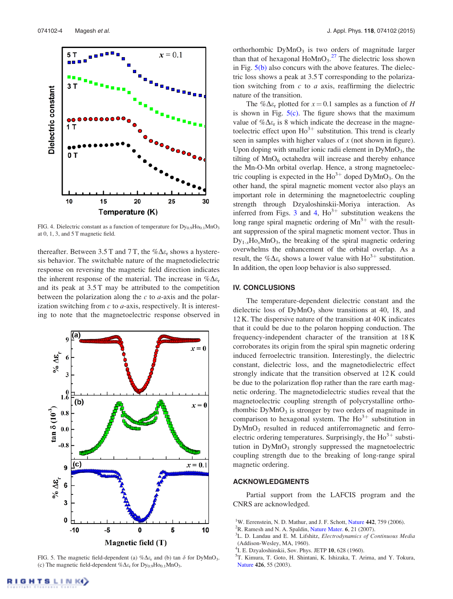

FIG. 4. Dielectric constant as a function of temperature for  $Dy_{0.9}Ho_{0.1}MnO_3$ at 0, 1, 3, and 5 T magnetic field.

thereafter. Between 3.5 T and 7 T, the  $\% \Delta \varepsilon_r$  shows a hysteresis behavior. The switchable nature of the magnetodielectric response on reversing the magnetic field direction indicates the inherent response of the material. The increase in  $\%\Delta\varepsilon_r$ and its peak at 3.5 T may be attributed to the competition between the polarization along the  $c$  to  $a$ -axis and the polarization switching from  $c$  to  $a$ -axis, respectively. It is interesting to note that the magnetoelectric response observed in



FIG. 5. The magnetic field-dependent (a)  $\% \Delta \varepsilon_r$  and (b) tan  $\delta$  for DyMnO<sub>3</sub>. (c) The magnetic field-dependent  $% \Delta \varepsilon_r$  for  $Dy_{0.9}Ho_{0.1}MnO_3$ .

orthorhombic  $DyMnO<sub>3</sub>$  is two orders of magnitude larger than that of hexagonal  $HoMnO<sub>3</sub><sup>27</sup>$  The dielectric loss shown in Fig.  $5(b)$  also concurs with the above features. The dielectric loss shows a peak at 3.5 T corresponding to the polarization switching from  $c$  to  $a$  axis, reaffirming the dielectric nature of the transition.

The % $\Delta \varepsilon_r$  plotted for  $x = 0.1$  samples as a function of H is shown in Fig.  $5(c)$ . The figure shows that the maximum value of  $\% \Delta \varepsilon_r$  is 8 which indicate the decrease in the magnetoelectric effect upon  $\text{Ho}^{3+}$  substitution. This trend is clearly seen in samples with higher values of  $x$  (not shown in figure). Upon doping with smaller ionic radii element in  $DyMnO_3$ , the tilting of  $MnO<sub>6</sub>$  octahedra will increase and thereby enhance the Mn-O-Mn orbital overlap. Hence, a strong magnetoelectric coupling is expected in the  $Ho^{3+}$  doped  $DyMnO_3$ . On the other hand, the spiral magnetic moment vector also plays an important role in determining the magnetoelectric coupling strength through Dzyaloshinskii-Moriya interaction. As inferred from Figs. 3 and 4,  $\text{Ho}^{3+}$  substitution weakens the long range spiral magnetic ordering of  $Mn^{3+}$  with the resultant suppression of the spiral magnetic moment vector. Thus in  $Dy_{1-x}Ho_xMnO_3$ , the breaking of the spiral magnetic ordering overwhelms the enhancement of the orbital overlap. As a result, the % $\Delta \varepsilon_r$  shows a lower value with  $Ho^{3+}$  substitution. In addition, the open loop behavior is also suppressed.

### IV. CONCLUSIONS

The temperature-dependent dielectric constant and the dielectric loss of  $DyMnO<sub>3</sub>$  show transitions at 40, 18, and 12 K. The dispersive nature of the transition at 40 K indicates that it could be due to the polaron hopping conduction. The frequency-independent character of the transition at 18 K corroborates its origin from the spiral spin magnetic ordering induced ferroelectric transition. Interestingly, the dielectric constant, dielectric loss, and the magnetodielectric effect strongly indicate that the transition observed at 12 K could be due to the polarization flop rather than the rare earth magnetic ordering. The magnetodielectric studies reveal that the magnetoelectric coupling strength of polycrystalline orthorhombic  $DyMnO<sub>3</sub>$  is stronger by two orders of magnitude in comparison to hexagonal system. The  $Ho^{3+}$  substitution in  $DyMnO<sub>3</sub>$  resulted in reduced antiferromagnetic and ferroelectric ordering temperatures. Surprisingly, the  $Ho^{3+}$  substitution in  $DyMnO<sub>3</sub>$  strongly suppressed the magnetoelectric coupling strength due to the breaking of long-range spiral magnetic ordering.

### ACKNOWLEDGMENTS

Partial support from the LAFCIS program and the CNRS are acknowledged.

- <sup>1</sup>W. Eerenstein, N. D. Mathur, and J. F. Schott, Nature 442, 759 (2006).
- ${}^{2}$ R. Ramesh and N. A. Spaldin, Nature Mater. 6, 21 (2007).
- <sup>3</sup>L. D. Landau and E. M. Lifshitz, Electrodynamics of Continuous Media (Addison-Wesley, MA, 1960).
- 4 I. E. Dzyaloshinskii, Sov. Phys. JETP 10, 628 (1960).
- 5 T. Kimura, T. Goto, H. Shintani, K. Ishizaka, T. Arima, and Y. Tokura, Nature 426, 55 (2003).